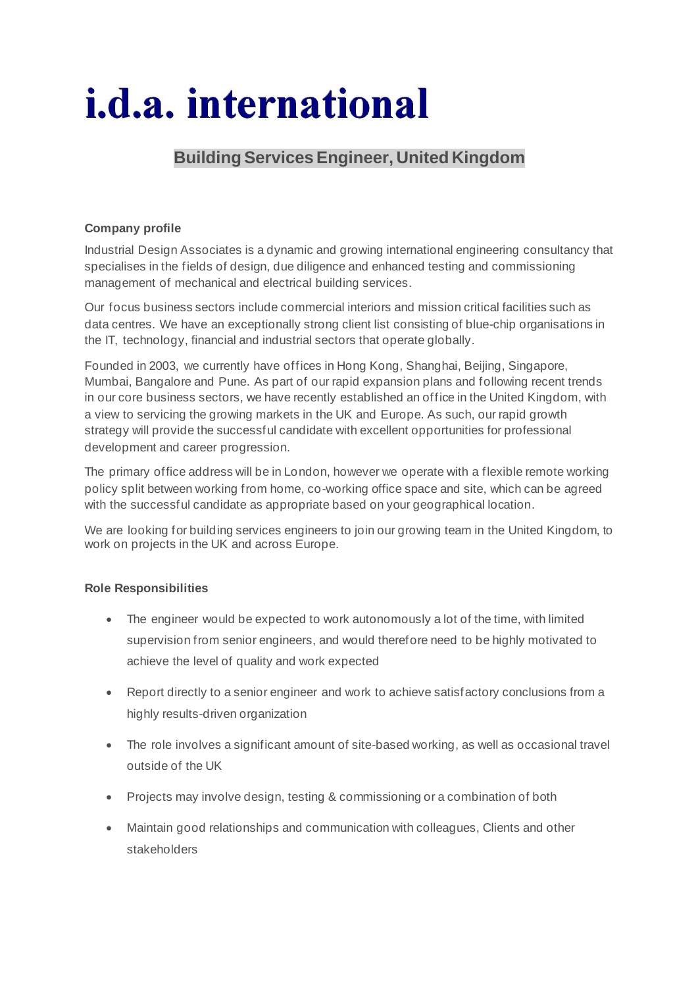# *i.d.a.* international

## **Building Services Engineer, United Kingdom**

### **Company profile**

Industrial Design Associates is a dynamic and growing international engineering consultancy that specialises in the fields of design, due diligence and enhanced testing and commissioning management of mechanical and electrical building services.

Our focus business sectors include commercial interiors and mission critical facilities such as data centres. We have an exceptionally strong client list consisting of blue-chip organisations in the IT, technology, financial and industrial sectors that operate globally.

Founded in 2003, we currently have offices in Hong Kong, Shanghai, Beijing, Singapore, Mumbai, Bangalore and Pune. As part of our rapid expansion plans and following recent trends in our core business sectors, we have recently established an office in the United Kingdom, with a view to servicing the growing markets in the UK and Europe. As such, our rapid growth strategy will provide the successful candidate with excellent opportunities for professional development and career progression.

The primary office address will be in London, however we operate with a flexible remote working policy split between working from home, co-working office space and site, which can be agreed with the successful candidate as appropriate based on your geographical location.

We are looking for building services engineers to join our growing team in the United Kingdom, to work on projects in the UK and across Europe.

#### **Role Responsibilities**

- The engineer would be expected to work autonomously a lot of the time, with limited supervision from senior engineers, and would therefore need to be highly motivated to achieve the level of quality and work expected
- Report directly to a senior engineer and work to achieve satisfactory conclusions from a highly results-driven organization
- The role involves a significant amount of site-based working, as well as occasional travel outside of the UK
- Projects may involve design, testing & commissioning or a combination of both
- Maintain good relationships and communication with colleagues, Clients and other stakeholders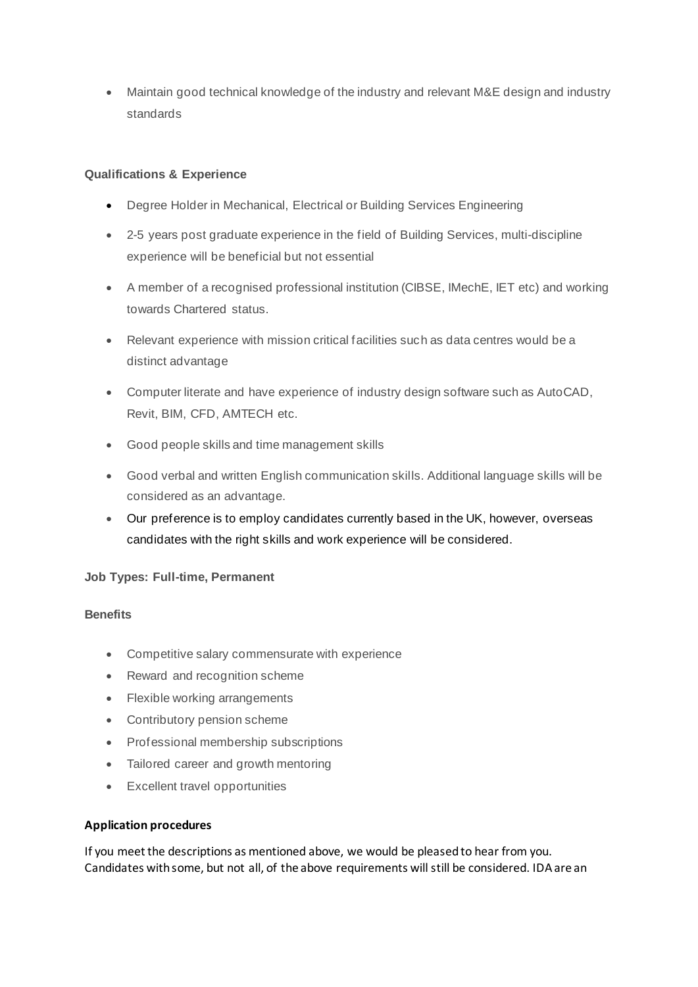• Maintain good technical knowledge of the industry and relevant M&E design and industry standards

#### **Qualifications & Experience**

- Degree Holder in Mechanical, Electrical or Building Services Engineering
- 2-5 years post graduate experience in the field of Building Services, multi-discipline experience will be beneficial but not essential
- A member of a recognised professional institution (CIBSE, IMechE, IET etc) and working towards Chartered status.
- Relevant experience with mission critical facilities such as data centres would be a distinct advantage
- Computer literate and have experience of industry design software such as AutoCAD, Revit, BIM, CFD, AMTECH etc.
- Good people skills and time management skills
- Good verbal and written English communication skills. Additional language skills will be considered as an advantage.
- Our preference is to employ candidates currently based in the UK, however, overseas candidates with the right skills and work experience will be considered.

#### **Job Types: Full-time, Permanent**

#### **Benefits**

- Competitive salary commensurate with experience
- Reward and recognition scheme
- Flexible working arrangements
- Contributory pension scheme
- Professional membership subscriptions
- Tailored career and growth mentoring
- Excellent travel opportunities

#### **Application procedures**

If you meet the descriptions as mentioned above, we would be pleased to hear from you. Candidates with some, but not all, of the above requirements will still be considered. IDA are an